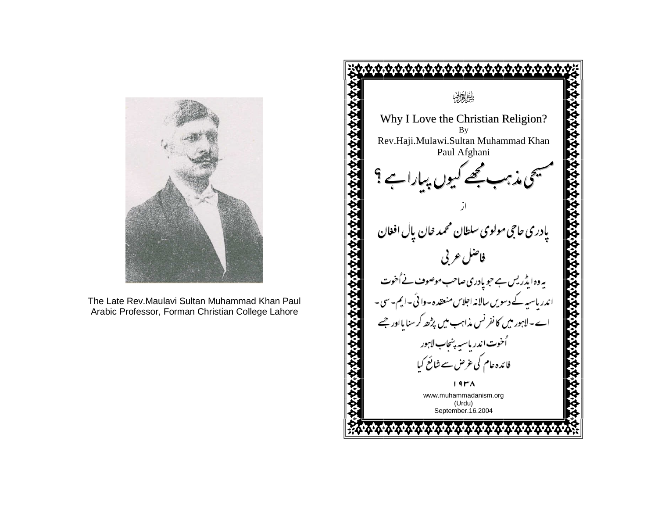

The Late Rev.Maulavi Sultan Muhammad Khan PaulArabic Professor, Forman Christian College Lahore

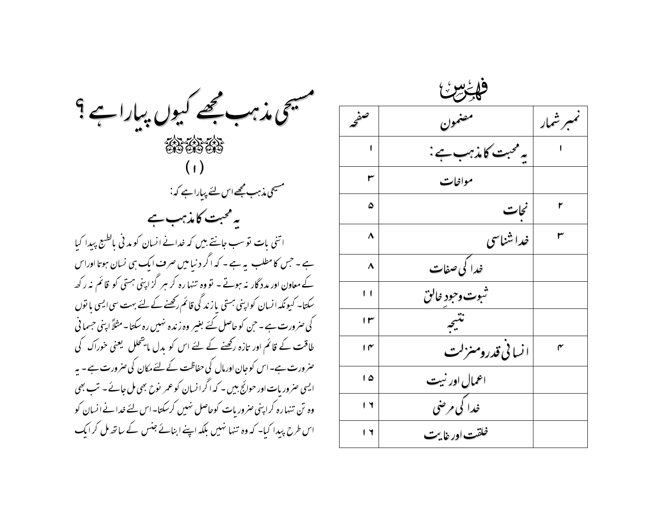

| فليخرش         |                    |         |
|----------------|--------------------|---------|
| سفج            | تنمون              | مبرشمار |
| ı              | یہ محبت کامذہب ہے: |         |
| ٣              | مواخات             |         |
| ۵              | نحات               | ۲       |
| ٨              | خداشناسی           |         |
| ٨              | ۔<br>خدا کی صفات   |         |
| $\blacksquare$ | ثبوت وجود خالق     |         |
| ۱۳             | نتبجه              |         |
| ۱۴             | ا نسانی قدرومنزلت  | ۴       |
| ۵ ا            | اعمال اور نبیت     |         |
| ۱٦             | خدا کې مرضي        |         |
| ۱٦             | خلقت اور خايت      |         |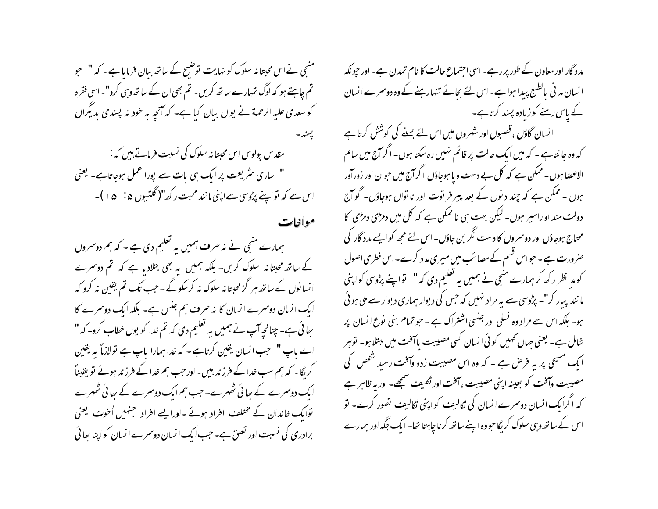منىجى نے اس محبتانہ سلوک کو نہایت نوشیح کے ساتھ ببان فرمایا ہے - کہ " حبو تم چاہئے ہو کہ لوگ تہارے ساتھ کریں۔ تم بھی ان کے ساتھ وہی کرو"۔اسی فقرہ کو سعدی علیہ الرحمۃ نے یوں ببان کیا ہے۔ کہ آنچہ ہہ خود نہ پسندی بدیگراں پسند۔ مقدس پولوس اس محبتانہ سلوک کی نسبت فرماتے ہیں کہ : " ساری سٹریعت پر ایک ہی بات سے پورا عمل ہوجاتاہے۔ یعنی اس سے کہ تواپنے پڑوسی سے اپنی ما نند محبت رکھ"( گلتیوں ۵ : ۔ ۵ ا )۔

مواخات

ہمارے منجی نے نہ صرف ہمیں یہ تعلیم دی ہے - کہ ہم دوسروں کے ساتھ محبتانہ سلوک کریں- بلکہ ہمیں بہ بھی بتلادیا ہے کہ تم دوسرے انسانوں کے ساتھ ہر گزمحبتا نہ سلوک نہ کرسکوگے ۔ جب تک تم یقین نہ کرو کہ ایک انسان دوسرے انسان کا نہ صرف ہم جنس ہے۔ بلکہ ایک دوسرے کا ہجائی ہے۔ چنانچہ آپ نے ہمیں یہ تعلیم دی کہ تم خدا کو یوں خطاب کرو۔کہ " اے ماپ " حجب انسان یقین کرتاہے۔ کہ خدا ہمارا پاپ ہے نولازماً یہ یقین کریگا۔ کہ ہم سب خدا کے فرزند بیں۔ اور حب ہم خدا کے فرزند ہوئے تو یقیناً ایک دوسرے کے بھائی ٹھہرے۔ جب ہم ایک دوسرے کے بھائی ٹھہرے توایک خاندان کے مختلف افراد ہوئے ۔اورایے افراد جنہیں اُخوت یعنی برادری کی نسبت اور تعلق ہے۔ حب ایک انسان دوسمرے انسان کواپنا سا ئی

مدد گار اور معاون کے طور پر رہے۔ اسی اجتماع حالت کا نام تمدن ہے۔ اور حیونکہ انسان مد فی بالطبع پیدا ہوا ہے۔اس لئے بجائے تنہارہنے کے وہ دوسمرے انسان کے پاس رہنے کوزیادہ پسند کرتاہے۔

انسان گاؤں ،قصبوں اور شہروں میں اس لئے بسنے کی کوشش کرتا ہے کہ وہ جا نتاہے ۔ کہ میں ایک حالت پر قائم نہیں رہ سکتا ہوں۔ اگرانج میں سالم الاعضا ہوں۔ ممکن ہے کہ کل بے دست ویا ہوجاؤں اگرانج میں حوان اور زورآور ہوں ۔ ممکن ہے کہ چند د نوں کے بعد پیر فر توت اور نا نواں ہوجاؤں۔ گو آج دولت مند او رامیر ہوں۔ لیکن بہت ہی ناممکن ہے کہ کل میں دمڑی دمڑی کا محتاج ہوجاؤں اور دوسروں کا دست نگر بن جاؤں۔ اس لئے مجھ کو ایسے مدد گار کی حنر ورت ہے ۔ حبواس قسم کے مصائب میں میری مدد کرے۔اس فطری اصول کومد نظر رکھ کر ہمارے منجی نے ہمیں یہ تعلیم دی کہ" تواپنے پڑوسی کواپنی ما نند پبار کر"۔ پڑوسی سے بہ مراد نہیں کہ حس کی دیوار ہماری دیوار سے ملی ہوئی ہو۔ بلکہ اس سے مراد وہ نسلی اور جنسی اشتراک ہے ۔ حبو تمام بنی نوع انسان پر شامل ہے۔ یعنی جہاں کھمیں کوئی انسان کسی مصیبت پاسخت میں مبتلا ہو۔ توہر ایک مسیحی پر یہ فرص ہے ۔ کہ وہ اس مصیبت زدہ وآفت رسید شخص کی مصيبت وآفت كو بعينه اپني مصيبت ، آفت اور ثكليف سمجھے- اور بہ ظاہر ہے کہ اگرایک انسان دوسرے انسان کی نکالیف کواپنی ٹکالیف نصور کرے۔ نو اس کے ساتھ وہی سلوک کر لگا حبو وہ اپنے ساتھ کرنا چاہتا تھا۔ ایک جگہ اور ہمارے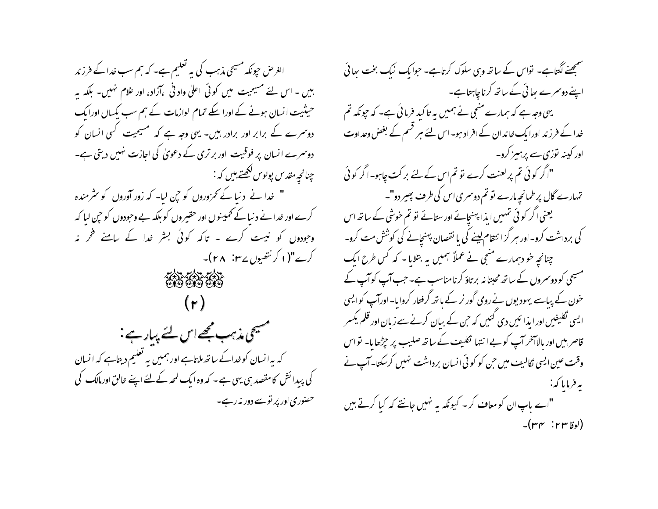الغرض حپونکہ مسیحی مذہب کی یہ تعلیم ہے۔ کہ ہم سب خدا کے فرزند ہیں ۔ اس لئے مسیحیت میں کوئی اعلیٰ واد ٹی ،آزاد، اور غلام نہیں۔ بلکہ یہ حیثیت انسان ہونے کے اورا سکے تمام لوازمات کے ہم سب یکساں اورایک دوسرے کے برابر اور برادر بیں۔ یہی وجہ ہے کہ مسیحیت کسی انسان کو دوسرے انسان پر فوقیت اور بر تری کے دعویٰ کی اجازت نہیں دیتی ہے۔ چنانچہ مقدس پولوس لکھتے ہیں کہ : " خدا نے دنیا کے تھروروں کو حین لیا۔ کہ زور آوروں کو سٹرمندہ کرے اور خدا نے د نیا کے ٹم پنوں اور حقیروں کو بلکہ بے وحودوں کو حی لیا کہ وجودوں کو نیست کرے ۔ تاکہ کوئی بشر غدا کے پامنے فخر نہ کرے"(۱ کرنتھیوں سے ۲۸ <sup>:</sup> ۲۸)۔ あいあい  $(r)$ سمسیحی مذہب مجھے اس لئے پیار ہے : کہ یہ انسان کوخداکے ساتھ ملاتاہے اور ہمیں یہ تعلیم دیتاہے کہ انسان کی پیدائش کامقصد ہی یہی ہے ۔ کہ وہ ایک لمحہ کےلئے اپنے خالق اورمالک کی حصنوری اور پر تو سے دور نہ رہے۔

سمجھنے لگتاہے۔ نواس کے ساتھ وہی سلوک کرتاہے۔ حبوابک نیک بخت سائی اپنے دوسرے بعائی کے ساتھ کرناچاہتاہے۔ یہی وجہ ہے کہ ہمارے منتجی نے ہمیں یہ تاکید فرما ئی ہے۔ کہ حیونکہ تم خدا کے فرزند اورا یک خاندان کے افراد ہو۔اس لئے ہر قسم کے بغض وعداوت اور کینہ نوزی سے پرہیز کرو۔ "اگر کوئی تم پر لعنت کرے تو تم اس کے لئے بر کت چاہو۔اگر کوئی تہارے گال پر طمانحیہ مارے نو تم دوسمری اس کی طرف پھیر دو"۔ یعنی اگر کوئی تہیں ایذا پہنچانے اور ستانے تو تم خوشی کے ساتھ اس کی برداشت کرو- اور سر گز ا نتقام لینے کی یا نقصان پہنچانے کی کوشش مت کرو-چنانچہ خو دہمارے منبی نے عملاً ہمیں یہ بتلایا۔ کہ کس طرح ایک مسیحی کو دوسمروں کے ساتھ محبتانہ برتاؤ کرنامناسب ہے۔ جب آپ کوآپ کے خون کے پیاسے یہودیوں نے رومی گور نر کے باتھ گرفتار کروا ما- اورآپ کوایسی ایسی تکلیفیں اور ایذا ئیں دی گئیں کہ حٖن کے بیان کرنے سے زبان اور قلم یکسر قاصر بیں اور بالاہخر آپ کو بے ا نتہا گکلیف کے ساتھ صلیب پر حیڑھا یا۔ نواس وقت عین ایسی نکالیف میں حن کو کوئی انسان برداشت نہیں کرسکتا۔آپ نے به فرمایا که : "اے پاپ ان کو معاف کر - کیونکہ یہ نہیں جانتے کہ کیا کرتے ہیں  $-(r_{\Gamma} \cdot r_{\Gamma})$ لوقاس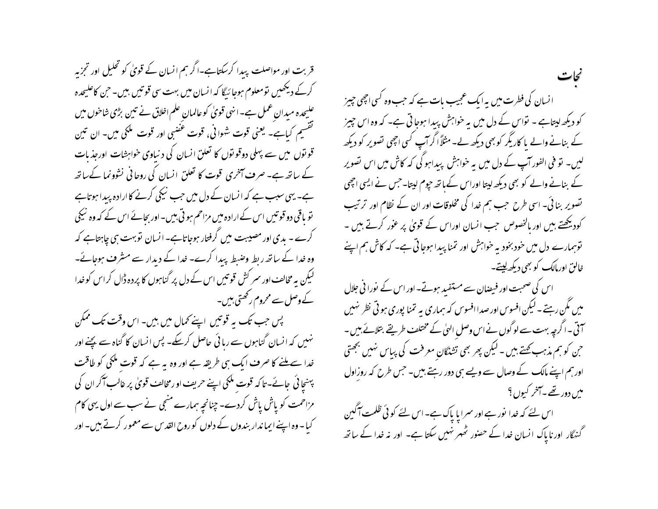قربت اور مواصلت پیدا کرسکتاہے۔اگر ہم انسان کے قویٰ کو تحلیل اور تجزیہ کرکے دیکھیں تومعلوم ہوجائیگا کہ انسان میں بہت سی قوتیں بیں۔ حن کاعلیحدہ علیحدہ میدان عمل ہے۔انهی قویٰ کوعالمان علم اخلاق نے تین بڑی شاخوں میں گفشیم کیاہے۔ یعنی قوت شوافی، قوت عضبی اور قوت ملکی میں۔ ان تین قو توں میں سے پہلی دوقو توں کا تعلق انسان کی د نباوی خواہشات اورجذ بات کے ساتھ ہے۔ صرف آخری قوت کا تعلق انسان کی روحانی نشوونما کےساتھ ہے۔ یہی سبب ہے کہ انسان کے دل میں جب نیکی کرنے کا ارادہ پیدا ہوتاہے تو باقی دو قوتیں اس کے ارادہ میں مزاحم ہو تی بیں۔اور بجائے اس کے کہ وہ نیکی کرے - یدی اور مصیبت میں گرفتار ہوجاتاہے- انسان توبہت ہی چاہتاہے کہ وہ خدا کے ساتھ ربط وضبط پیدا کرے۔ خدا کے دیدار سے مشرف ہوجائے۔ لیکن یہ مخالف اور سمر کش قوتیں اس کے دل پر گناہوں کا پردہ ڈال کراس کو خدا کے وصل سے محروم رکھتی ہیں۔ پس حب تک یہ قوتیں اپنے کمال میں بین- اس وقت تک ممکن نہیں کہ انسان گناہوں سے رہائی حاصل کرسکے۔ پس انسان کا گناہ سے پچنے اور خدا سے ملنے کا صرف ایک ہی طریقہ ہے اور وہ یہ ہے کہ قوت ملکی کو طاقت پہنچائی جائے-تاکہ قوت ملکی اپنے حریف او رمخالف قویٰ پر غالب آکر ان کی مزاحمت کو پاش پاش کردے۔ چنانچہ ہمارے منجی نے سب سے اول یہی کام

کیا – وہ اپنے ایما ندار بندوں کے دلوں کو روح القدس سے معمور کرتے ہیں۔ اور

انسان کی فطرت میں یہ ایک عجیب مات ہے کہ حب وہ کسی اچھی چیز کو دیکھ لیتاہے ۔ نواس کے دل میں یہ خواہش پیدا ہوجاتی ہے۔ کہ وہ اس چیز کے بنانے والے پا کاریگر کو بھی دیکھ لے۔مثلاً اگر آپ کسی اچھی تصویر کو دیکھ لیں۔ تو فی الفور آپ کے دل میں یہ خواہش پیداہو گی کہ کاش میں اس تصویر کے بنانے والے کو بھی دیکھ لپتا اوراس کےباتھ جپوم لپتا۔حس نے ایسی اچھی نصویر بنائی۔ اسی طرح حب ہم خدا کی مخلوقات اور ان کے نظام اور ترتیب کودیکھتے ہیں اور بالخصوص جب انسان اوراس کے قویٰ پر عور کرتے ہیں ۔ توہمارے دل میں خود بخود بہ خواہش اور تمنا پیدا ہوجاتی ہے۔ کہ کاش ہم اپنے خالق اورمالک کو بھی دیکھ لیتے۔

اس کی صحبت اور فیصان سے مستفید ہوتے۔ اور اس کے نورا نی جلال میں مگن رہتے۔ لیکن افسوس اور صدا افسوس کہ ہماری یہ تمنا پوری ہو ٹی نظر نہیں آتی ۔اگرچہ بہت سے لوگوں نےاس وصل الہٰیٰ کے مختلف طریقے بتلائے بیں ۔ حن کو ہم مذہب <del>ک</del>ہتے ہیں ۔ لیکن پھر بھی تشنگان معرفت کی پیاس نہیں بھحتی اورہم اپنے مالک کے وصال سے ویسے ہی دور رہتے ہیں۔ جس طرح کہ روزاول میں دور تھے۔آخر کیوں؟

اس لئے کہ خدا نور ہے اور سمرایا پاک ہے۔اس لئے کوئی ظلمت آگین گنہگار اور ناپاک انسان خدا کے حصنور ٹھہر نہیں سکتا ہے۔ اور نہ خدا کے ساتھ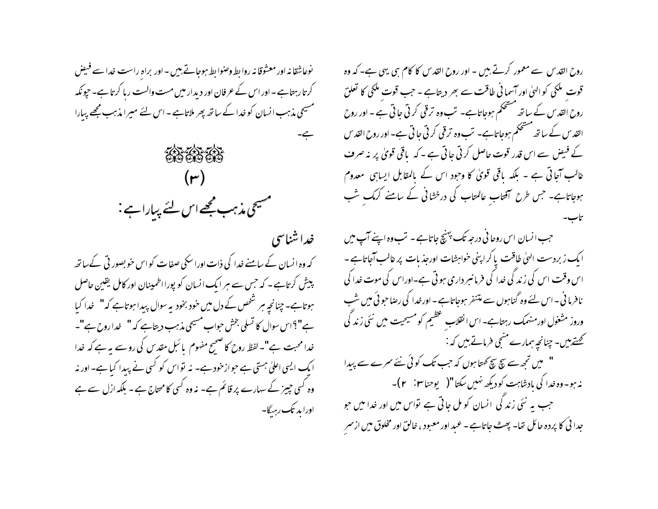روح القدس سے معمور کرتے ہیں ۔ اور روح القدس کا کام ہی بہی ہے۔ کہ وہ قوت ملکی کو الہٰیٰ اور آسما فی طاقت سے بھر دیتاہے - جب قوت ملکی کا تعلق روح القد س کے ساتھ مشحکم ہوجاتاہے۔ تب وہ ترقی کرتی جاتی ہے ۔ اور روح القدس کے ساتھ مشحکم ہوجاتاہے۔ تب وہ ترقی کرتی جاتی ہے۔ اور روح القدس کے فیض سے اس قدر قوت حاصل کرتی جاتی ہے ۔کہ باقی قویٰ پر نہ صرف غالب آجا ٹی ہے ۔ بلکہ یاقی قویٰ کا وجود اس کے بالمقابل ایسا ہی معدوم ہوجاتاہے۔ جس طرح اتفتاب عالمتاب کی در خشائی کے سامنے کرمک شب

حب انسان اس روحا فی درجہ <sup>ہ</sup>ک پہنچ جاتاہے - تب وہ اپنے آپ میں ایک زبردست الهیٰ طاقت پا کراپنی خواہشات اورجذ بات پر غالب آجاتاہے -اس وقت اس کی زند کی خدا کی فرمانسرداری ہوتی ہے۔اوراس کی موت خدا کی نافرما فی ۔اس لئے وہ گناہوں سے متنفر ہوجاتاہے ۔اورخدا کی رصاحو ٹی میں شب وروز مشغول اورمنهمک رہتاہے۔ اس انقلاب تحظیم کو مسیحیت میں نئی زند کی کھتے ہیں- چنانچہ ہمارے منجی فرماتے ہیں کہ : " میں تجھ سے سچ سچ کمتا ہوں کہ جب تک کوئی نئے سمرے سے پیدا نہ ہو۔وہ غدا کی بادشاہت کو دیکھ نہیں سکتا"(\_ یوحناس :\_ ۲ )۔ جب یہ نئی زند گی انسان کو مل جاتی ہے تواس میں اور خدا میں حو جدا ئی کا پردہ حائل تھا۔ پھٹ جاتاہے - عبد اور معبود ، خالق اور مخلوق میں ازسمر

نوعاشقا نه اور معشوقا نه روا بط وصوا بط موجاتے ہیں - اور براہ راست خدا سے فیض کرتارہتاہے۔اور اس کے عرفان اور دیدار میں مست والست ریا کرتاہے۔ حپونکہ مسیحی مذہب انسان کو خدا کے ساتھ پھر ملاتاہے - اس لئے میرا مذہب مجھے پیارا بے۔



خداشناسی کہ وہ انسان کے سامنے خدا کی ذات اوراسکی صفات کو اس خوبصور ٹی کےساتھ پیش کرتاہے۔ کہ جس سے ہر ایک انسان کو پورااطمینان اور کامل یقین حاصل ہوتاہے۔ چنانچہ ہر شخص کے دل میں خود بخود یہ سوال پیدا ہوتاہے کہ" خدا کیا ہے"؟اس سوال کا تسلی بخش حواب مسیحی مذہب دیتاہے کہ" نداروح ہے"۔ خدا محبت ہے"۔ لفظ روح کا صحیح مفهوم یا ئبل مقدس کی روسے یہ ہے کہ خدا ا یک ایسی اعلیٰ ہستی ہے حبوازخود ہے۔ نہ تواس کو کسی نے پیدا کیا ہے۔ اور نہ وہ کسی چیز کے سہارے پر قائم ہے۔ نہ وہ کسی کامحتاج ہے - بلکہ ازل سے ہے اورا مد تک رہے۔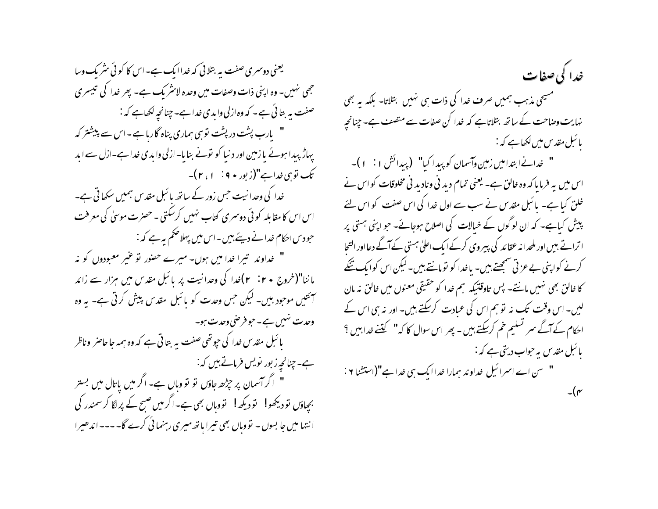یعنی دوسری صفت به بتلائی که خداایک ہے۔اس کا کوئی سٹریک وسا جھی نہیں۔ وہ اپنی ذات وصفات میں وحدہ لائٹریک ہے۔ پھر خدا کی تبیسری صفت پہ بتائی ہے۔ کہ وہ ازلی وابدی خداہے۔چنانچہ لکھاہے کہ : " بارب پشت درپشت توسی ہماری پناہ گارہاہے۔اس سے پیشتر کہ پہاڑ پیدا ہوئے پا زمین اور دنیا کو نونے بنایا- ازلی وابدی خدا ہے-ازل سے ابد تک توسی خدا ہے"(زبور • ۹ : ۱ ، ۲)۔ خدا کی وحدا نہت جس زور کے ساتھ پائبل مقدس ہمیں سکھاتی ہے۔ اس اس کامقابلہ کوئی دوسری کتاب نہیں کرسکتی۔حصرت موسیٰ کی معرفت حبو دس احکام خدانے دیئے ہیں۔اس میں پہلا حکم یہ ہے کہ : " خداوند تیرا خدا میں ہوں۔ میرے حصور تو عنیر معبودوں کو نہ باننا"(خروج ۲۰ : ۲)خدا کی وحدانیت پر پائبل مقدس میں ہزار سے زائد آئتیں موجود بیں۔ لیکن جس وحدت کو پائبل مقدس پیش کرتی ہے۔ یہ وہ وحدت نہیں ہے۔حبو فرصی وحدت ہو۔ یا ئبل مقدس خدا کی حیوتھی صفت یہ بتا تی ہے کہ وہ ہمہ جا حاصر ۖ وناظر ہے۔ چنانچہ زبور نویس فرماتے ہیں کہ: " اگر آسمان پر حِرْحصہ جاؤں نو نو وہاں ہے۔ اگر میں باتال میں بستر بچپاؤں نو دیکھو! نو دیکھ! نووہاں بھی ہے۔اگر میں صبح کے پر لگا کر سمندر کی انتہا میں جا بسوں - تووہاں بھی تیرا باتھ میری رہنمائی کرے گا۔ ۔۔۔ اندھیرا

خدا کی صفات مسیحی مذہب ہمیں صرف غدا کی ذات ہی نہیں بتلاتا۔ بلکہ یہ بھی نہایت وصاحت کے ساتھ بتلاتاہے کہ خدا کن صفات سے متصف ہے۔ چنانچہ پائىل مقدس مىن لىھاہے كہ :-" خدانے ابتدامیں زمین وآسمان کو پید اکیا" (پیدائش ا $( + )$ ۔ اس میں بہ فرما یا کہ وہ خالق ہے۔ یعنی تمام دید فی ونادید فی مخلوقات کو اس نے خلق کیا ہے۔ پائبل مقدس نے سب سے اول خدا کی اس صفت کو اس لئے پیش کیاہے۔ کہ ان لوگوں کے خیالات کی اصلاح ہوجائے۔ حو اپنی ہستی پر ا ترانے بیں اور ملحدا نہ عقائد کی پیروی کرکے ایک اعلیٰ ہستی کے آگے دعا اور التحا کرنے کواپنی بے عزتی سمجھتے ہیں۔ یاخدا کو نومانتے ہیں۔لیکن اس کوایک تنکے کا خالق بھی نہیں مانتے۔ پس تاوقتیکہ ہم خدا کو حقیقی معنوں میں خالق نہ مان لیں۔ اس وقت تک نہ تو ہم اس کی عبادت کرسکتے ہیں۔ اور نہ ہی اس کے احکام کے آگے سر تسلیم خم کرسکتے ہیں - پھر اس سوال کا کہ" گننے خدا ہیں ؟ یا ئبل مقدس به حواب دیتی ہے کہ :-" سن اے اسمرائیل خداوند ہمارا خدا ایک ہی خدا ہے"(استشنا ٢ :  $\mathcal{L}(\mathbf{r})$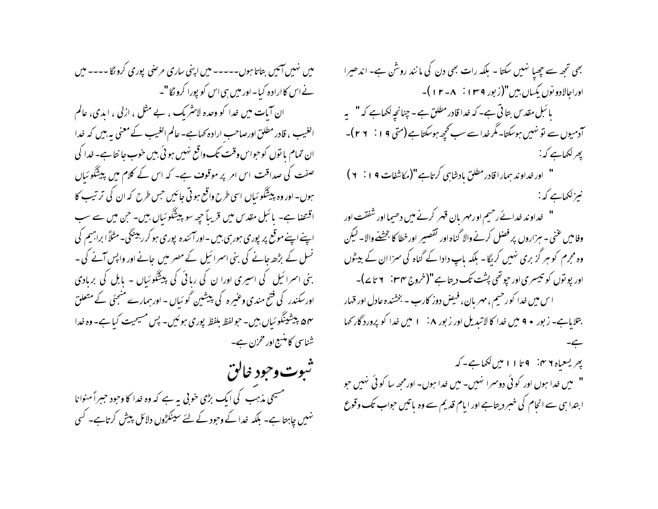میں نہیں آئیں بتاتا ہوں۔۔۔۔۔ میں اپنی ساری مرضی پوری کرونگا۔۔۔۔ میں نے اس کاارادہ کیا۔اور میں ہی اس کو پورا کرونگا "۔ ان آبات میں خدا کو وحدہ لائشریک ، بے مثل ، ازلی ، ایدی، عالم الغیب ، قادر مطلق اورصاحب ارادہ کہاہے۔ عالم الغیب کے معنی یہ بیں کہ خدا ان تمام یا نوں کوحواس وقت تک واقع نہیں ہو ئی بیں خوب جا نتا ہے۔خدا کی صفت کی صداقت اس امر پر موقوف ہے۔ کہ اس کے کلام میں پیشگو ئیاں ہوں۔ اور وہ پیشگو ئیاں اسی طرح واقع ہو تی جائیں جس طرح کہ ان کی ترتیب کا اقنصا ہے۔ پائبل مقدس میں قریباً حیھ سو پیشگوئیاں ہیں۔ حن میں سے سب اپنے اپنے موقع پر پوری ہورہی بیں -اور آئندہ پوری ہو کر رہینگی-مثلاً ابراہیم کی نسل کے بڑھ جانے کی بنی اسمرائیل کے مصر میں جانے اور واپس آنے کی ۔ بنی اسرائیل کی اسپری اورا ن کی ربائی کی پیشگوئیاں - پابل کی بربادی اورسکندر کی فتح مندی وعنیرہ کی پیشین گوئیاں - اور ہمارے منجئی کے متعلق ۵۴ پیشینگو ئیاں بیں۔ حولفظ بلفظ پوری ہوئیں۔ پس مسیحیت کیا ہے۔ وہ خدا شناسی کامنسج اور مخزن ہے۔

ثبوت وجود خالق مسیحی مذہب کی ایک بڑی خوبی یہ ہے کہ وہ خدا کا وحود حبیراً منوانا نہیں چاہتا ہے۔ بلکہ خدا کے وحود کے لئے سینکڑوں دلائل پیش کرتاہے۔ کسی

بھی تجھ سے چھپا نہیں سکتا - بلکہ رات بھی دن کی مانند روشْن ہے- اندھیرا اوراجالادو نوں يکساں بين"(زبور ١٣٩٩ : - ١٢ )-پائبل مقدس بتا تی ہے۔ کہ خدا قادر مطلق ہے - چنانچہ لکھاہے کہ " یہ آدمیوں سے نو نہیں ہوسکتا۔مگر خداسے سب کحچھ ہوسکتاہے (متی ۱۹ : ۲۹ )۔ پھرلکھاہے کہ: " اور خداو ند ہمار اقادر مطلق مادشاہی کرتاہے"(مکاشفات ۹٪ ۲) نیزلکھاہے کہ : " خداوند خدائے رحیم اورمہر بان قہر کرنے میں دھیمااور شفقت اور وفاميں عني – سزاروں پر فصل كرنے والا گناه اور تقصير اورخطا كا بخشخے والا۔ ليكن وہ مجرم کو ہر گز بری نہیں کریگا۔ بلکہ پاپ دادا کے گناہ کی سمزا ان کے بیٹول اور پو توں کو تیسری اور حیوتھی پشت تک دیتاہے "(خروج نہ ۲۰ : ۲ تا ۷ے)۔ اس میں خدا کورخیم ، مهر بان ، فیض دوز کارب – بخشنده عادل اور قہار بتلایاہے۔ زبور • ۹ میں خدا کا لاتیدیل اور زبور ۸: ۱ میں خدا کو پرورد گار کھا پھريسعياه ٢ ٢، ٩ تا ١١ ميں لکھاہے۔ کہ " میں خدا ہوں اور کوئی دوسمرا نہیں۔ میں خدا ہوں۔ اورمجھ سا کوئی نہیں حو ابتدا ہی سے انحام کی خبر دیتاہے اور امام قدیم سے وہ یا تیں حواب تک وقوع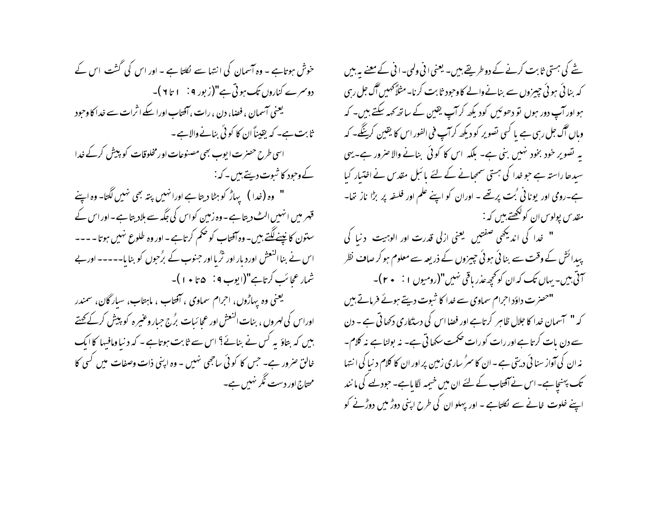خوش ہوتاہے ۔ وہ آسمان کی انتہا سے لکتا ہے ۔ اور اس کی گشت اس کے دوسرے کناروں تک ہوتی ہے"(زبور ۹ : ۱ تا ۲)۔ یعنی آسمان ، فضا، دن ، رات ، آفتاب اورا سکے اثرات سے خدا کا وحود ثابت ہے۔ کہ یقیناً ان کا کوئی بنانے والاہے ۔ اسی طرح حصرت ایوب بھی مصنوعات اور مخلوقات کو پیش کرکے خدا کے وحود کا شبوت دیتے ہیں۔ کہ :-" وہ (خدا ) یہاڑ کو ہٹا دیتا ہے اورانہیں پتہ بھی نہیں لگتا- وہ اپنے قہر میں انہیں الٹ دیتا ہے ۔ وہ زمین کواس کی جگہ سے بلادیتا ہے ۔ اور اس کے ستون کا نپسے لگتے ہیں۔ وہ آفتاب کو حکم کرتاہے ۔ اور وہ طلوع نہیں ہوتا - ---اس نے بنا النعش اور دیار اور ثرُ یا اور جنوب کے برُحبوں کو بنا یا۔۔۔۔۔ اور بے شمار عجائب کرتاہے"(ایوب 4 نہ ۵ تا • ۱ )۔ یعنی وه پهاڑوں، احرام سماوی ، آفتاب ، ماہتاب، سیار گان، سمندر اوراس کی لہروں ، بنات النعش اور عجا ئیات بُرج جبار وعنیر ہ کو پیش کرکے گھتے ہیں کہ بتاؤ یہ کس نے بنائے؟ اس سے ثابت ہوتاہے - کہ د نیا ومافیہا کا ایک خالق صرور ہے۔ جس کا کو ٹی ساجھی نہیں ۔ وہ اپنی ذات وصفات میں کسی کا محتاج اور دست نگر نہیں ہے۔

شے کی ہستی ثابت کرنے کے دو طریقے ہیں۔ یعنی انی ولمی۔انی کے معنے یہ بیں کہ بنا ئی ہوئی چیزوں سے بنانےوالے کاوجود ثابت کرنا- مثلاً کھیں گ جل رہی ہو اور آپ دور ہوں تو دھوئیں کودیکھ کر آپ یقین کے ساتھ کھہ سکتے ہیں۔ کہ وہاں آگ جل رہی ہے یا کسی تصویر کو دیکھ کرآپ فی الفور اس کا یقین کرینگے۔ کہ بہ تصویر خود بخود نہیں بنی ہے۔ بلکہ اس کا کوئی بنانے والا صرور ہے۔ یہی سیدھا راستہ ہے جو خدا کی ہستی سمجانے کے لئے پائبل مقدس نے اختیار کیا ہے۔رومی اور یونانی <sup>پ</sup>ت پرتھے - اوران کو اپنے علم اور فلسفہ پر بڑا ناز تھا-مقدس یولوس ان کولکھتے ہیں کہ :-" خدا کی اندیکھی صفتیں یعنی ازلی قدرت اور الوہیت دنیا کی پیدائش کے وقت سے بنائی ہوئی چیزوں کے ذریعہ سے معلوم ہو کر صاف نظر َ آتی بیں۔ یہاں تک کہ ان کو تحیجہ عذر یاقی نہیں"(رومیوں ۱ : • ۲)۔ "حصرت داؤد احرام سماوی سے خدا کا ثبوت دیتے ہوئے فرماتے ہیں کہ " آسمان غدا کا جلال ظاہر کرتاہے اور فضا اس کی دستکاری دکھا تی ہے ۔ دن سے دن بات کرتا ہے اور رات کورات صحمت سکھا تی ہے۔ نہ بولنا ہے نہ کلام۔ نہ ان کی آواز سنا ئی دیتی ہے – ان کا سرُ ساری زمین پر اور ان کا کلام د نیا کی ا نتہا تک پہنچاہے۔ اس نے آفتاب کے لئے ان میں خیمیہ لگا ماہے۔ حبود لہے کی ما نند اپنے خلوت خانے سے لُکلتاہے ۔ اور پہلو ان کی طرح اپنی دوڑ میں دوڑنے کو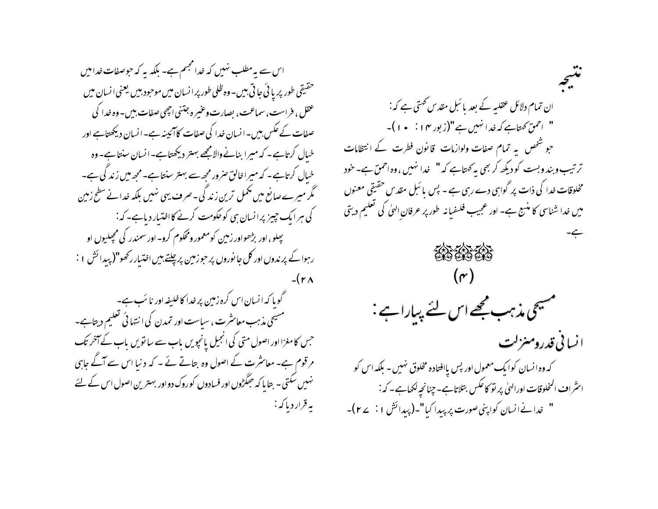اس سے یہ مطلب نہیں کہ خدا مجتم ہے۔ بلکہ یہ کہ حوصفات خدامیں حقیقی طور پر یا ئی جا تی بیں۔وہ ظلی طور پر انسان میں موجود بیں یعنی انسان میں عقل، فراست، سماعت، بصارت وعنیر ه جتنی احیمی صفات، بین – وه خدا کی صفات کے عکس بیں۔انسان خدا کی صفات کا آئیبنہ ہے۔انسان دیکھتاہے اور خیال کرتاہے۔ کہ میرا بنانےوالامجھے بہتر دیکھتاہے۔انسان سنتاہے۔وہ خیال کرتاہے۔ کہ میراخالق صرور مجھ سے بہتر سنتاہے۔مجھ میں زندگی ہے۔ گر میرے صانع میں پھمل ترین زند گی۔صرف یہی نہیں بلکہ خدانے سطح زمین کی ہر ایک چیز پرانسان ہی کوحکومت کرنے کااختیار دیاہے۔کہ: بېلو،اور بڑھواور زمین کومعمور ومحکوم کرو-اور سمندر کی مجعلیوں او رہوا کے پر ندوں اور کل جا نوروں پر حوزمین پرچلتے ہیں اختیار رکھو"( پیدائش ۱ :  $-(r<sub>A</sub>)$ 

گوپا کہ انسان اس کرہ زمین پر خدا کا خلیفہ اور نا ئب ہے۔ مسیحی مذہب معاسرت ، سیاست اور تمدن کی انتہائی تعلیم دیتاہے۔ جس کامغزااور اصول متی کی انجیل یانجویں باب سے ساتویں باب کے آ*خر* تک مرقوم ہے۔ معائثرت کے اصول وہ بتاتے نے - کہ دنیا اس سے آگے جاہی نہیں سکتی ۔ بتا پا کہ حجگڑوں اور فسادوں کوروک دواور بہترین اصول اس کے لئے يە قرار د پا كە :

ان تمام دلائل عقلیہ کے بعد بائبل مقدس کھتی ہے کہ : " احمقَ كہتاہے كہ خدا نہيں ہے "(زبور ١٢ : • ١)۔ جو شخص ہے تمام صفات ولوازمات قانون فطرت کے انتظامات تر تیب وبند وبست کو دیکھ کر بھی بہ کھتاہے کہ " خدا نہیں ،وہ احمق ہے۔خود مخلوقات خدا کی ذات پر گواہی دے رہی ہے - پس با ئبل مقد س حقیقی معنوں میں خدا شناسی کا منسج ہے۔ اور عجیب فلسفبانہ طور پر عرفان الهیٰ کی تعلیم دیتی ERS ERS ERS مسیحی مذہب مجھے اس لئے پیارا ہے : ا نسانی قدرومنزلت که وه انسان کوایک معمول اور پس یاافتاده مخلوق نهیں – بلکه اس کو اسٹراف المخلوقات اورالهیٰ پر نو کاعکس بتلاتاہے۔چنانچہ لکھاہے۔ کہ: " خدانےانسان کواپنی صورت پر پیدا کیا"۔(پیدائش ۱: ۲۷)۔